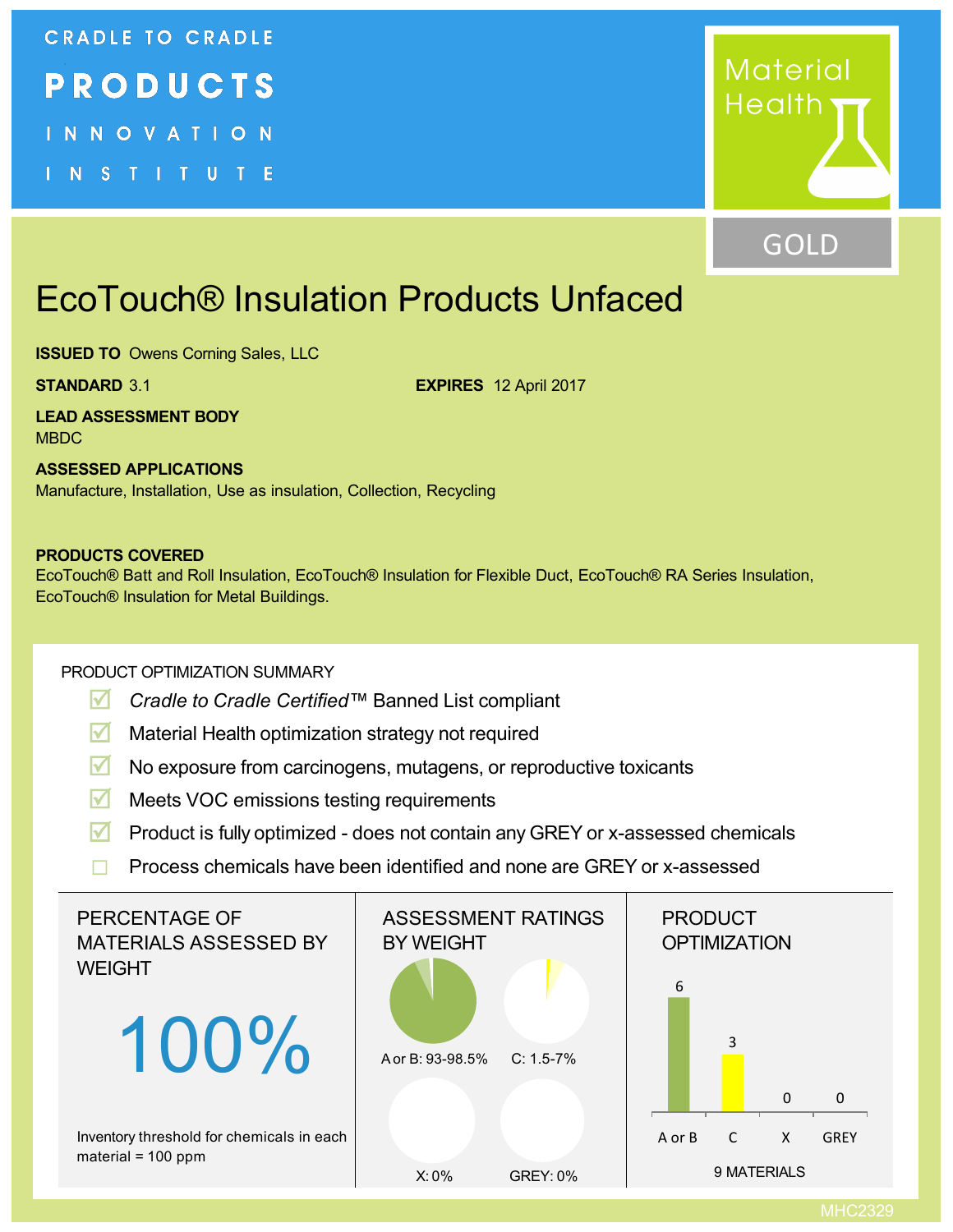#### **CRADLE TO CRADLE**



INNOVATION

INSTITUTE



### GOLD

# EcoTouch® Insulation Products Unfaced

**ISSUED TO** Owens Corning Sales, LLC

**STANDARD** 3.1 **EXPIRES** 12 April 2017

**LEAD ASSESSMENT BODY** MBDC

**ASSESSED APPLICATIONS** Manufacture, Installation, Use as insulation, Collection, Recycling

#### **PRODUCTS COVERED**

EcoTouch® Batt and Roll Insulation, EcoTouch® Insulation for Flexible Duct, EcoTouch® RA Series Insulation, EcoTouch® Insulation for Metal Buildings.

#### PRODUCT OPTIMIZATION SUMMARY

- **R** *Cradle to Cradle Certified™* Banned List compliant
- **M** Material Health optimization strategy not required
- **R** No exposure from carcinogens, mutagens, or reproductive toxicants
- **M** Meets VOC emissions testing requirements
- **R** Product is fully optimized does not contain any GREY or x-assessed chemicals
- $\Box$  Process chemicals have been identified and none are GREY or x-assessed